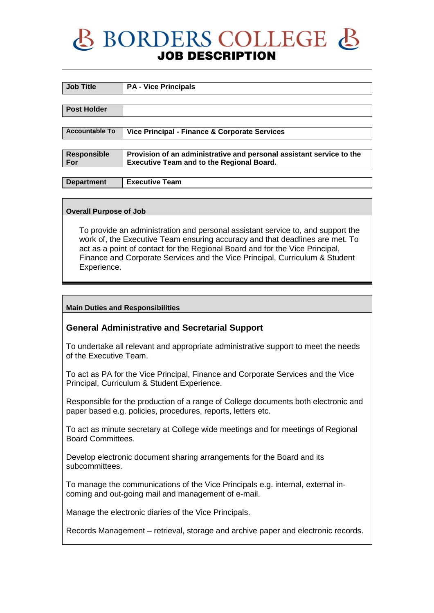## BORDERS COLLEGE & **JOB DESCRIPTION**

| <b>Job Title</b>      | <b>PA - Vice Principals</b>                                          |
|-----------------------|----------------------------------------------------------------------|
|                       |                                                                      |
|                       |                                                                      |
| <b>Post Holder</b>    |                                                                      |
|                       |                                                                      |
|                       |                                                                      |
| <b>Accountable To</b> | Vice Principal - Finance & Corporate Services                        |
|                       |                                                                      |
|                       |                                                                      |
| <b>Responsible</b>    | Provision of an administrative and personal assistant service to the |
| For                   | <b>Executive Team and to the Regional Board.</b>                     |
|                       |                                                                      |
|                       |                                                                      |
| <b>Department</b>     | <b>Executive Team</b>                                                |

#### **Overall Purpose of Job**

To provide an administration and personal assistant service to, and support the work of, the Executive Team ensuring accuracy and that deadlines are met. To act as a point of contact for the Regional Board and for the Vice Principal, Finance and Corporate Services and the Vice Principal, Curriculum & Student Experience.

#### **Main Duties and Responsibilities**

### **General Administrative and Secretarial Support**

To undertake all relevant and appropriate administrative support to meet the needs of the Executive Team.

To act as PA for the Vice Principal, Finance and Corporate Services and the Vice Principal, Curriculum & Student Experience.

Responsible for the production of a range of College documents both electronic and paper based e.g. policies, procedures, reports, letters etc.

To act as minute secretary at College wide meetings and for meetings of Regional Board Committees.

Develop electronic document sharing arrangements for the Board and its subcommittees.

To manage the communications of the Vice Principals e.g. internal, external incoming and out-going mail and management of e-mail.

Manage the electronic diaries of the Vice Principals.

Records Management – retrieval, storage and archive paper and electronic records.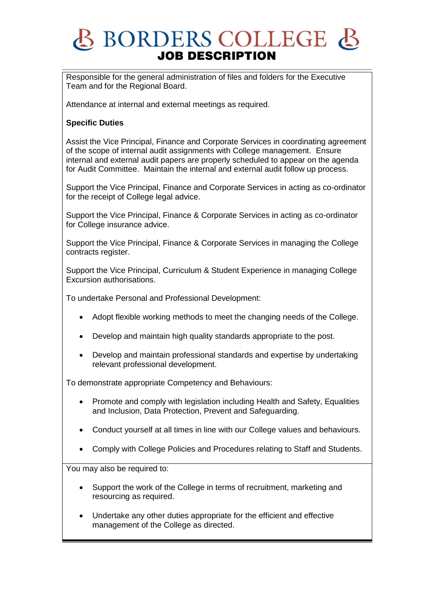# BORDERS COLLEGE B **JOB DESCRIPTION**

Responsible for the general administration of files and folders for the Executive Team and for the Regional Board.

Attendance at internal and external meetings as required.

## **Specific Duties**

Assist the Vice Principal, Finance and Corporate Services in coordinating agreement of the scope of internal audit assignments with College management. Ensure internal and external audit papers are properly scheduled to appear on the agenda for Audit Committee. Maintain the internal and external audit follow up process.

Support the Vice Principal, Finance and Corporate Services in acting as co-ordinator for the receipt of College legal advice.

Support the Vice Principal, Finance & Corporate Services in acting as co-ordinator for College insurance advice.

Support the Vice Principal, Finance & Corporate Services in managing the College contracts register.

Support the Vice Principal, Curriculum & Student Experience in managing College Excursion authorisations.

To undertake Personal and Professional Development:

- Adopt flexible working methods to meet the changing needs of the College.
- Develop and maintain high quality standards appropriate to the post.
- Develop and maintain professional standards and expertise by undertaking relevant professional development.

To demonstrate appropriate Competency and Behaviours:

- Promote and comply with legislation including Health and Safety, Equalities and Inclusion, Data Protection, Prevent and Safeguarding.
- Conduct yourself at all times in line with our College values and behaviours.
- Comply with College Policies and Procedures relating to Staff and Students.

You may also be required to:

- Support the work of the College in terms of recruitment, marketing and resourcing as required.
- Undertake any other duties appropriate for the efficient and effective management of the College as directed.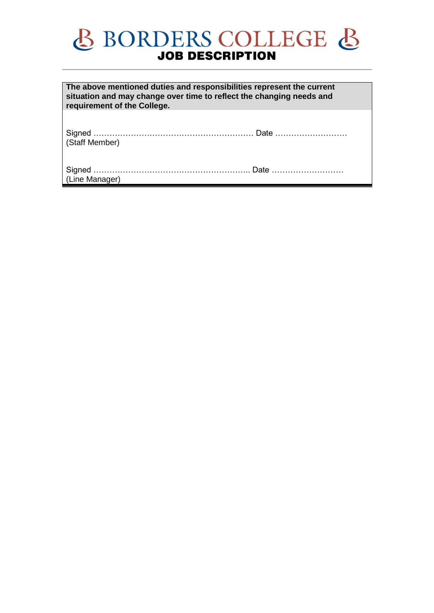# **BORDERS COLLEGE &**

**The above mentioned duties and responsibilities represent the current situation and may change over time to reflect the changing needs and requirement of the College.**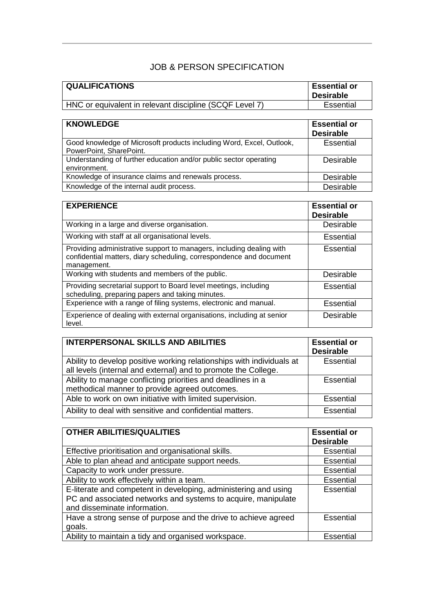## JOB & PERSON SPECIFICATION

| <b>QUALIFICATIONS</b>                                   | <b>Essential or</b><br>∣ Desirable∶ |
|---------------------------------------------------------|-------------------------------------|
| HNC or equivalent in relevant discipline (SCQF Level 7) | Essential                           |

| <b>KNOWLEDGE</b>                                                                                | <b>Essential or</b><br><b>Desirable</b> |
|-------------------------------------------------------------------------------------------------|-----------------------------------------|
| Good knowledge of Microsoft products including Word, Excel, Outlook,<br>PowerPoint, SharePoint. | Essential                               |
| Understanding of further education and/or public sector operating<br>environment.               | Desirable                               |
| Knowledge of insurance claims and renewals process.                                             | Desirable                               |
| Knowledge of the internal audit process.                                                        | Desirable                               |

| <b>EXPERIENCE</b>                                                                                                                                          | <b>Essential or</b><br><b>Desirable</b> |
|------------------------------------------------------------------------------------------------------------------------------------------------------------|-----------------------------------------|
| Working in a large and diverse organisation.                                                                                                               | Desirable                               |
| Working with staff at all organisational levels.                                                                                                           | Essential                               |
| Providing administrative support to managers, including dealing with<br>confidential matters, diary scheduling, correspondence and document<br>management. | Essential                               |
| Working with students and members of the public.                                                                                                           | Desirable                               |
| Providing secretarial support to Board level meetings, including<br>scheduling, preparing papers and taking minutes.                                       | <b>Essential</b>                        |
| Experience with a range of filing systems, electronic and manual.                                                                                          | <b>Essential</b>                        |
| Experience of dealing with external organisations, including at senior<br>level.                                                                           | Desirable                               |

| <b>INTERPERSONAL SKILLS AND ABILITIES</b>                             | <b>Essential or</b><br><b>Desirable</b> |
|-----------------------------------------------------------------------|-----------------------------------------|
| Ability to develop positive working relationships with individuals at | Essential                               |
| all levels (internal and external) and to promote the College.        |                                         |
| Ability to manage conflicting priorities and deadlines in a           | Essential                               |
| methodical manner to provide agreed outcomes.                         |                                         |
| Able to work on own initiative with limited supervision.              | Essential                               |
| Ability to deal with sensitive and confidential matters.              | Essential                               |

| <b>OTHER ABILITIES/QUALITIES</b>                                                                                                                                 | <b>Essential or</b><br><b>Desirable</b> |
|------------------------------------------------------------------------------------------------------------------------------------------------------------------|-----------------------------------------|
| Effective prioritisation and organisational skills.                                                                                                              | Essential                               |
| Able to plan ahead and anticipate support needs.                                                                                                                 | <b>Essential</b>                        |
| Capacity to work under pressure.                                                                                                                                 | <b>Essential</b>                        |
| Ability to work effectively within a team.                                                                                                                       | <b>Essential</b>                        |
| E-literate and competent in developing, administering and using<br>PC and associated networks and systems to acquire, manipulate<br>and disseminate information. | Essential                               |
| Have a strong sense of purpose and the drive to achieve agreed<br>goals.                                                                                         | Essential                               |
| Ability to maintain a tidy and organised workspace.                                                                                                              | Essential                               |